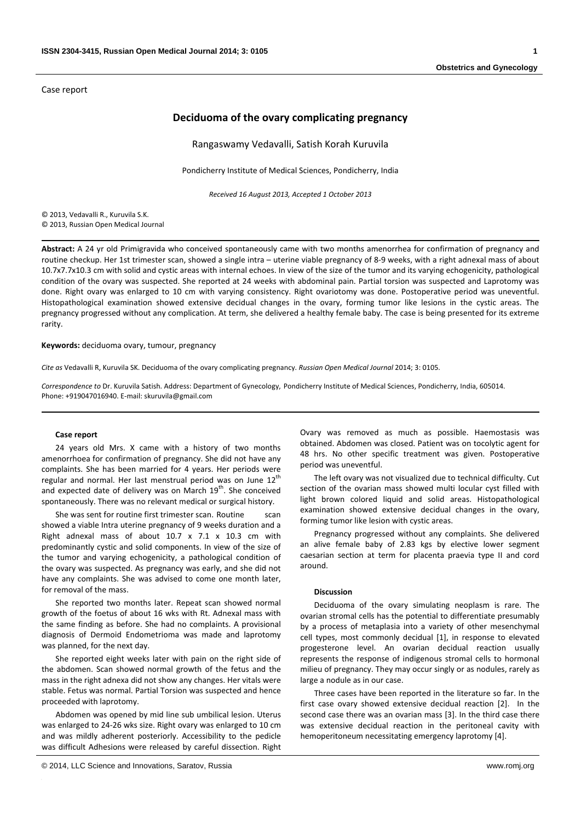Case report

# **Deciduoma of the ovary complicating pregnancy**

Rangaswamy Vedavalli, Satish Korah Kuruvila

Pondicherry Institute of Medical Sciences, Pondicherry, India

*Received 16 August 2013, Accepted 1 October 2013*

© 2013, Vedavalli R., Kuruvila S.K. © 2013, Russian Open Medical Journal

**Abstract:** A 24 yr old Primigravida who conceived spontaneously came with two months amenorrhea for confirmation of pregnancy and routine checkup. Her 1st trimester scan, showed a single intra – uterine viable pregnancy of 8‐9 weeks, with a right adnexal mass of about 10.7x7.7x10.3 cm with solid and cystic areas with internal echoes. In view of the size of the tumor and its varying echogenicity, pathological condition of the ovary was suspected. She reported at 24 weeks with abdominal pain. Partial torsion was suspected and Laprotomy was done. Right ovary was enlarged to 10 cm with varying consistency. Right ovariotomy was done. Postoperative period was uneventful. Histopathological examination showed extensive decidual changes in the ovary, forming tumor like lesions in the cystic areas. The pregnancy progressed without any complication. At term, she delivered a healthy female baby. The case is being presented for its extreme rarity.

**Keywords:** deciduoma ovary, tumour, pregnancy

*Cite as* Vedavalli R, Kuruvila SK. Deciduoma of the ovary complicating pregnancy. *Russian Open Medical Journal* 2014; 3: 0105.

*Correspondence to* Dr. Kuruvila Satish. Address: Department of Gynecology, Pondicherry Institute of Medical Sciences, Pondicherry, India, 605014. Phone: +919047016940. E‐mail: skuruvila@gmail.com

#### **Case report**

24 years old Mrs. X came with a history of two months amenorrhoea for confirmation of pregnancy. She did not have any complaints. She has been married for 4 years. Her periods were regular and normal. Her last menstrual period was on June  $12<sup>th</sup>$ and expected date of delivery was on March  $19<sup>th</sup>$ . She conceived spontaneously. There was no relevant medical or surgical history.

She was sent for routine first trimester scan. Routine showed a viable Intra uterine pregnancy of 9 weeks duration and a Right adnexal mass of about 10.7 x 7.1 x 10.3 cm with predominantly cystic and solid components. In view of the size of the tumor and varying echogenicity, a pathological condition of the ovary was suspected. As pregnancy was early, and she did not have any complaints. She was advised to come one month later, for removal of the mass.

She reported two months later. Repeat scan showed normal growth of the foetus of about 16 wks with Rt. Adnexal mass with the same finding as before. She had no complaints. A provisional diagnosis of Dermoid Endometrioma was made and laprotomy was planned, for the next day.

She reported eight weeks later with pain on the right side of the abdomen. Scan showed normal growth of the fetus and the mass in the right adnexa did not show any changes. Her vitals were stable. Fetus was normal. Partial Torsion was suspected and hence proceeded with laprotomy.

Abdomen was opened by mid line sub umbilical lesion. Uterus was enlarged to 24‐26 wks size. Right ovary was enlarged to 10 cm and was mildly adherent posteriorly. Accessibility to the pedicle was difficult Adhesions were released by careful dissection. Right

Ovary was removed as much as possible. Haemostasis was obtained. Abdomen was closed. Patient was on tocolytic agent for 48 hrs. No other specific treatment was given. Postoperative period was uneventful.

The left ovary was not visualized due to technical difficulty. Cut section of the ovarian mass showed multi locular cyst filled with light brown colored liquid and solid areas. Histopathological examination showed extensive decidual changes in the ovary, forming tumor like lesion with cystic areas.

Pregnancy progressed without any complaints. She delivered an alive female baby of 2.83 kgs by elective lower segment caesarian section at term for placenta praevia type II and cord around.

## **Discussion**

Deciduoma of the ovary simulating neoplasm is rare. The ovarian stromal cells has the potential to differentiate presumably by a process of metaplasia into a variety of other mesenchymal cell types, most commonly decidual [1], in response to elevated progesterone level. An ovarian decidual reaction usually represents the response of indigenous stromal cells to hormonal milieu of pregnancy. They may occur singly or as nodules, rarely as large a nodule as in our case.

Three cases have been reported in the literature so far. In the first case ovary showed extensive decidual reaction [2]. In the second case there was an ovarian mass [3]. In the third case there was extensive decidual reaction in the peritoneal cavity with hemoperitoneum necessitating emergency laprotomy [4].